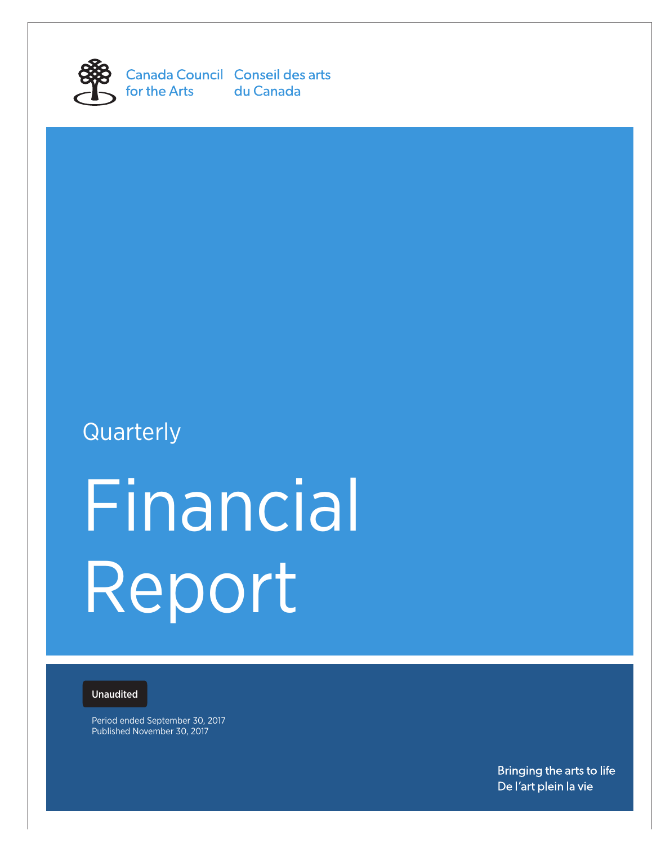

Canada Council Conseil des arts for the Arts du Canada

# **Quarterly**

# Financial Report

# Unaudited

Period ended September 30, 2017 Published November 30, 2017

> Bringing the arts to life De l'art plein la vie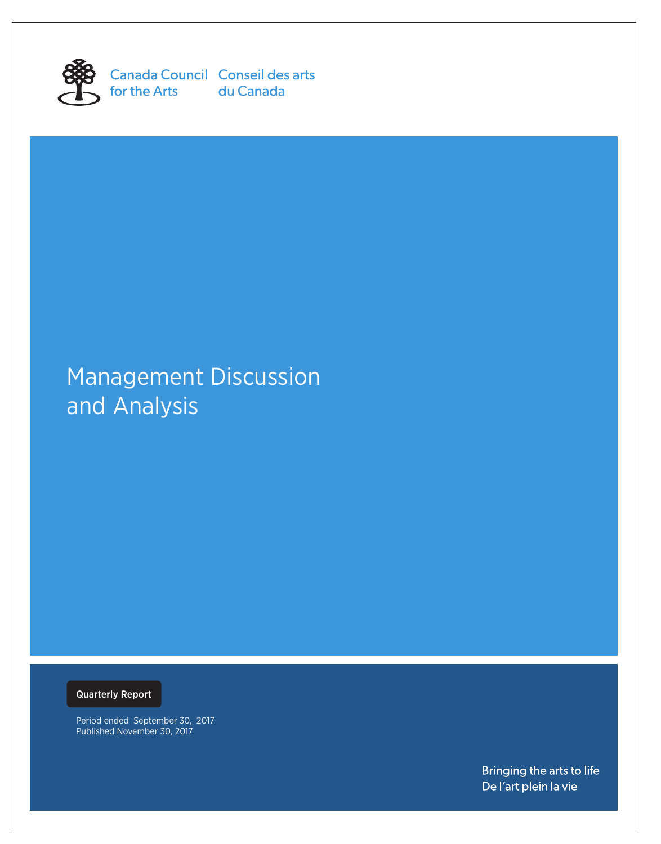

for the Arts du Canada

Canada Council Conseil des arts

# Management Discussion and Analysis

Quarterly Report

Period ended September 30, 2017 Published November 30, 2017

> Bringing the arts to life De l'art plein la vie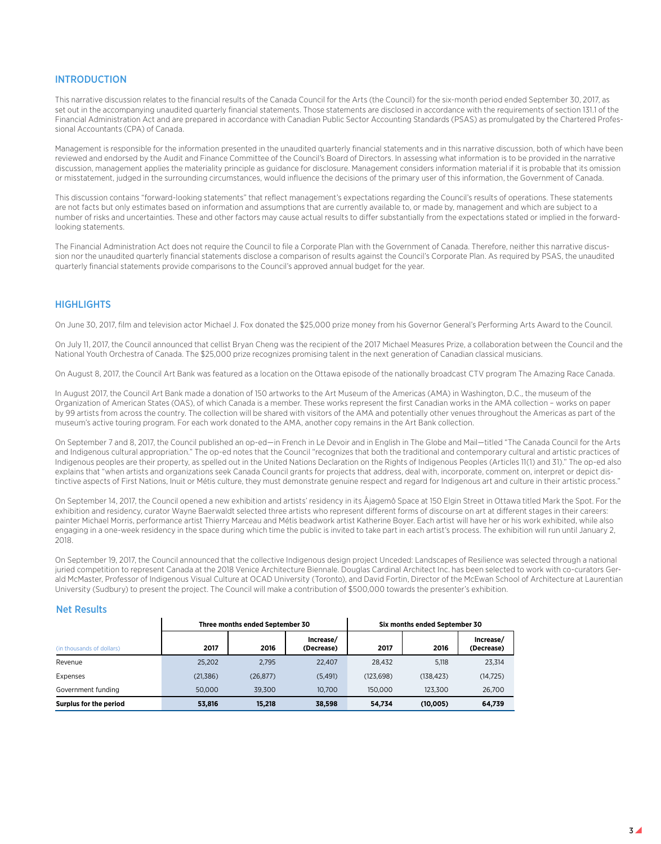# INTRODUCTION

This narrative discussion relates to the financial results of the Canada Council for the Arts (the Council) for the six-month period ended September 30, 2017, as set out in the accompanying unaudited quarterly financial statements. Those statements are disclosed in accordance with the requirements of section 131.1 of the Financial Administration Act and are prepared in accordance with Canadian Public Sector Accounting Standards (PSAS) as promulgated by the Chartered Professional Accountants (CPA) of Canada.

Management is responsible for the information presented in the unaudited quarterly financial statements and in this narrative discussion, both of which have been reviewed and endorsed by the Audit and Finance Committee of the Council's Board of Directors. In assessing what information is to be provided in the narrative discussion, management applies the materiality principle as guidance for disclosure. Management considers information material if it is probable that its omission or misstatement, judged in the surrounding circumstances, would influence the decisions of the primary user of this information, the Government of Canada.

This discussion contains "forward-looking statements" that reflect management's expectations regarding the Council's results of operations. These statements are not facts but only estimates based on information and assumptions that are currently available to, or made by, management and which are subject to a number of risks and uncertainties. These and other factors may cause actual results to differ substantially from the expectations stated or implied in the forwardlooking statements.

The Financial Administration Act does not require the Council to file a Corporate Plan with the Government of Canada. Therefore, neither this narrative discussion nor the unaudited quarterly financial statements disclose a comparison of results against the Council's Corporate Plan. As required by PSAS, the unaudited quarterly financial statements provide comparisons to the Council's approved annual budget for the year.

# **HIGHLIGHTS**

On June 30, 2017, film and television actor Michael J. Fox donated the \$25,000 prize money from his Governor General's Performing Arts Award to the Council.

On July 11, 2017, the Council announced that cellist Bryan Cheng was the recipient of the 2017 Michael Measures Prize, a collaboration between the Council and the National Youth Orchestra of Canada. The \$25,000 prize recognizes promising talent in the next generation of Canadian classical musicians.

On August 8, 2017, the Council Art Bank was featured as a location on the Ottawa episode of the nationally broadcast CTV program The Amazing Race Canada.

In August 2017, the Council Art Bank made a donation of 150 artworks to the Art Museum of the Americas (AMA) in Washington, D.C., the museum of the Organization of American States (OAS), of which Canada is a member. These works represent the first Canadian works in the AMA collection – works on paper by 99 artists from across the country. The collection will be shared with visitors of the AMA and potentially other venues throughout the Americas as part of the museum's active touring program. For each work donated to the AMA, another copy remains in the Art Bank collection.

On September 7 and 8, 2017, the Council published an op-ed—in French in Le Devoir and in English in The Globe and Mail—titled "The Canada Council for the Arts and Indigenous cultural appropriation." The op-ed notes that the Council "recognizes that both the traditional and contemporary cultural and artistic practices of Indigenous peoples are their property, as spelled out in the United Nations Declaration on the Rights of Indigenous Peoples (Articles 11(1) and 31)." The op-ed also explains that "when artists and organizations seek Canada Council grants for projects that address, deal with, incorporate, comment on, interpret or depict distinctive aspects of First Nations, Inuit or Métis culture, they must demonstrate genuine respect and regard for Indigenous art and culture in their artistic process."

On September 14, 2017, the Council opened a new exhibition and artists' residency in its Âjagemô Space at 150 Elgin Street in Ottawa titled Mark the Spot. For the exhibition and residency, curator Wayne Baerwaldt selected three artists who represent different forms of discourse on art at different stages in their careers: painter Michael Morris, performance artist Thierry Marceau and Métis beadwork artist Katherine Boyer. Each artist will have her or his work exhibited, while also engaging in a one-week residency in the space during which time the public is invited to take part in each artist's process. The exhibition will run until January 2, 2018.

On September 19, 2017, the Council announced that the collective Indigenous design project Unceded: Landscapes of Resilience was selected through a national juried competition to represent Canada at the 2018 Venice Architecture Biennale. Douglas Cardinal Architect Inc. has been selected to work with co-curators Gerald McMaster, Professor of Indigenous Visual Culture at OCAD University (Toronto), and David Fortin, Director of the McEwan School of Architecture at Laurentian University (Sudbury) to present the project. The Council will make a contribution of \$500,000 towards the presenter's exhibition.

# Net Results

|                           | Three months ended September 30 | Six months ended September 30 |                         |            |           |                         |
|---------------------------|---------------------------------|-------------------------------|-------------------------|------------|-----------|-------------------------|
| (in thousands of dollars) | 2017                            | 2016                          | Increase/<br>(Decrease) | 2017       | 2016      | Increase/<br>(Decrease) |
| Revenue                   | 25.202                          | 2.795                         | 22,407                  | 28.432     | 5.118     | 23.314                  |
| Expenses                  | (21, 386)                       | (26, 877)                     | (5, 491)                | (123, 698) | (138.423) | (14, 725)               |
| Government funding        | 50,000                          | 39.300                        | 10.700                  | 150,000    | 123.300   | 26,700                  |
| Surplus for the period    | 53,816                          | 15.218                        | 38,598                  | 54.734     | (10.005)  | 64,739                  |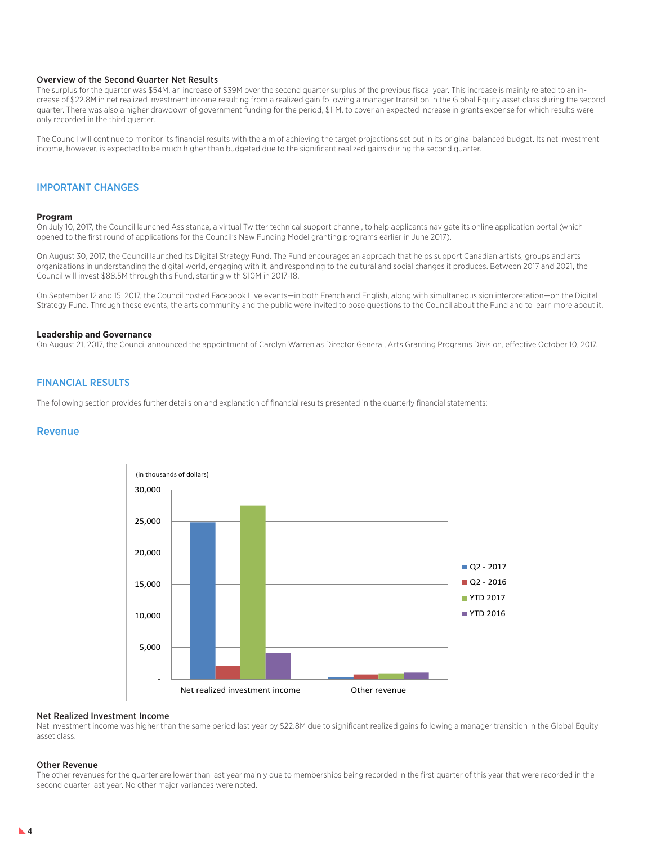### Overview of the Second Quarter Net Results

The surplus for the quarter was \$54M, an increase of \$39M over the second quarter surplus of the previous fiscal year. This increase is mainly related to an increase of \$22.8M in net realized investment income resulting from a realized gain following a manager transition in the Global Equity asset class during the second quarter. There was also a higher drawdown of government funding for the period, \$11M, to cover an expected increase in grants expense for which results were only recorded in the third quarter.

The Council will continue to monitor its financial results with the aim of achieving the target projections set out in its original balanced budget. Its net investment income, however, is expected to be much higher than budgeted due to the significant realized gains during the second quarter.

## IMPORTANT CHANGES

#### **Program**

On July 10, 2017, the Council launched Assistance, a virtual Twitter technical support channel, to help applicants navigate its online application portal (which opened to the first round of applications for the Council's New Funding Model granting programs earlier in June 2017).

On August 30, 2017, the Council launched its Digital Strategy Fund. The Fund encourages an approach that helps support Canadian artists, groups and arts organizations in understanding the digital world, engaging with it, and responding to the cultural and social changes it produces. Between 2017 and 2021, the Council will invest \$88.5M through this Fund, starting with \$10M in 2017-18.

On September 12 and 15, 2017, the Council hosted Facebook Live events—in both French and English, along with simultaneous sign interpretation—on the Digital Strategy Fund. Through these events, the arts community and the public were invited to pose questions to the Council about the Fund and to learn more about it.

### **Leadership and Governance**

On August 21, 2017, the Council announced the appointment of Carolyn Warren as Director General, Arts Granting Programs Division, effective October 10, 2017.

## FINANCIAL RESULTS

The following section provides further details on and explanation of financial results presented in the quarterly financial statements:

### Revenue



### Net Realized Investment Income

Net investment income was higher than the same period last year by \$22.8M due to significant realized gains following a manager transition in the Global Equity asset class.

#### Other Revenue

The other revenues for the quarter are lower than last year mainly due to memberships being recorded in the first quarter of this year that were recorded in the second quarter last year. No other major variances were noted.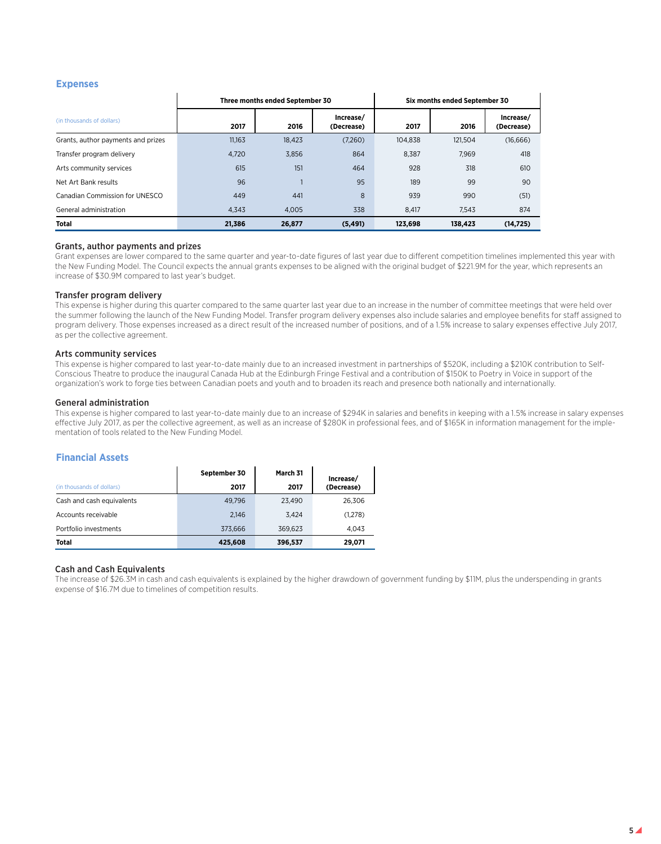## **Expenses**

|                                    |        | Three months ended September 30 |                         |         | Six months ended September 30 |                         |
|------------------------------------|--------|---------------------------------|-------------------------|---------|-------------------------------|-------------------------|
| (in thousands of dollars)          | 2017   | 2016                            | Increase/<br>(Decrease) | 2017    | 2016                          | Increase/<br>(Decrease) |
| Grants, author payments and prizes | 11.163 | 18.423                          | (7,260)                 | 104.838 | 121.504                       | (16,666)                |
| Transfer program delivery          | 4,720  | 3,856                           | 864                     | 8.387   | 7.969                         | 418                     |
| Arts community services            | 615    | 151                             | 464                     | 928     | 318                           | 610                     |
| Net Art Bank results               | 96     |                                 | 95                      | 189     | 99                            | 90                      |
| Canadian Commission for UNESCO     | 449    | 441                             | 8                       | 939     | 990                           | (51)                    |
| General administration             | 4.343  | 4.005                           | 338                     | 8.417   | 7.543                         | 874                     |
| Total                              | 21.386 | 26,877                          | (5, 491)                | 123.698 | 138.423                       | (14, 725)               |

### Grants, author payments and prizes

Grant expenses are lower compared to the same quarter and year-to-date figures of last year due to different competition timelines implemented this year with the New Funding Model. The Council expects the annual grants expenses to be aligned with the original budget of \$221.9M for the year, which represents an increase of \$30.9M compared to last year's budget.

### Transfer program delivery

This expense is higher during this quarter compared to the same quarter last year due to an increase in the number of committee meetings that were held over the summer following the launch of the New Funding Model. Transfer program delivery expenses also include salaries and employee benefits for staff assigned to program delivery. Those expenses increased as a direct result of the increased number of positions, and of a 1.5% increase to salary expenses effective July 2017, as per the collective agreement.

### Arts community services

This expense is higher compared to last year-to-date mainly due to an increased investment in partnerships of \$520K, including a \$210K contribution to Self-Conscious Theatre to produce the inaugural Canada Hub at the Edinburgh Fringe Festival and a contribution of \$150K to Poetry in Voice in support of the organization's work to forge ties between Canadian poets and youth and to broaden its reach and presence both nationally and internationally.

### General administration

This expense is higher compared to last year-to-date mainly due to an increase of \$294K in salaries and benefits in keeping with a 1.5% increase in salary expenses effective July 2017, as per the collective agreement, as well as an increase of \$280K in professional fees, and of \$165K in information management for the implementation of tools related to the New Funding Model.

# **Financial Assets**

|                           | September 30 | March 31 | Increase/  |
|---------------------------|--------------|----------|------------|
| (in thousands of dollars) | 2017         | 2017     | (Decrease) |
| Cash and cash equivalents | 49.796       | 23.490   | 26.306     |
| Accounts receivable       | 2.146        | 3.424    | (1,278)    |
| Portfolio investments     | 373.666      | 369.623  | 4.043      |
| <b>Total</b>              | 425,608      | 396,537  | 29,071     |

### Cash and Cash Equivalents

The increase of \$26.3M in cash and cash equivalents is explained by the higher drawdown of government funding by \$11M, plus the underspending in grants expense of \$16.7M due to timelines of competition results.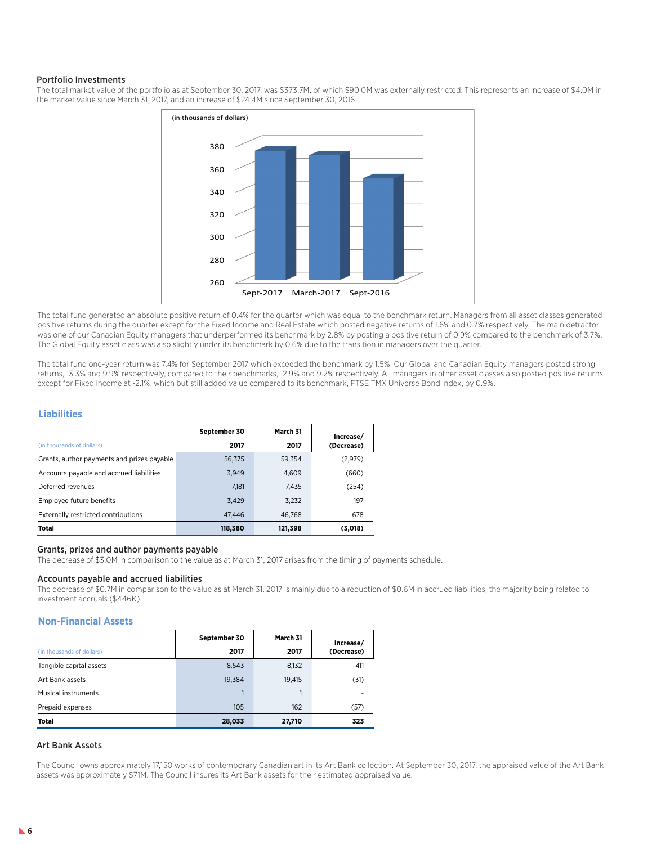### Portfolio Investments

The total market value of the portfolio as at September 30, 2017, was \$373.7M, of which \$90.0M was externally restricted. This represents an increase of \$4.0M in the market value since March 31, 2017, and an increase of \$24.4M since September 30, 2016.



The total fund generated an absolute positive return of 0.4% for the quarter which was equal to the benchmark return. Managers from all asset classes generated positive returns during the quarter except for the Fixed Income and Real Estate which posted negative returns of 1.6% and 0.7% respectively. The main detractor was one of our Canadian Equity managers that underperformed its benchmark by 2.8% by posting a positive return of 0.9% compared to the benchmark of 3.7%. The Global Equity asset class was also slightly under its benchmark by 0.6% due to the transition in managers over the quarter.

The total fund one-year return was 7.4% for September 2017 which exceeded the benchmark by 1.5%. Our Global and Canadian Equity managers posted strong returns, 13.3% and 9.9% respectively, compared to their benchmarks, 12.9% and 9.2% respectively. All managers in other asset classes also posted positive returns except for Fixed income at -2.1%, which but still added value compared to its benchmark, FTSE TMX Universe Bond index, by 0.9%.

# **Liabilities**

|                                            | September 30 | March 31 | Increase/  |
|--------------------------------------------|--------------|----------|------------|
| (in thousands of dollars)                  | 2017         | 2017     | (Decrease) |
| Grants, author payments and prizes payable | 56.375       | 59.354   | (2,979)    |
| Accounts payable and accrued liabilities   | 3.949        | 4.609    | (660)      |
| Deferred revenues                          | 7.181        | 7.435    | (254)      |
| Employee future benefits                   | 3,429        | 3.232    | 197        |
| Externally restricted contributions        | 47.446       | 46.768   | 678        |
| <b>Total</b>                               | 118,380      | 121,398  | (3,018)    |

### Grants, prizes and author payments payable

The decrease of \$3.0M in comparison to the value as at March 31, 2017 arises from the timing of payments schedule.

### Accounts payable and accrued liabilities

The decrease of \$0.7M in comparison to the value as at March 31, 2017 is mainly due to a reduction of \$0.6M in accrued liabilities, the majority being related to investment accruals (\$446K).

### **Non-Financial Assets**

|                           | September 30 | March 31 | Increase/  |
|---------------------------|--------------|----------|------------|
| (in thousands of dollars) | 2017         | 2017     | (Decrease) |
| Tangible capital assets   | 8,543        | 8,132    | 411        |
| Art Bank assets           | 19.384       | 19,415   | (31)       |
| Musical instruments       |              |          |            |
| Prepaid expenses          | 105          | 162      | (57)       |
| Total                     | 28,033       | 27,710   | 323        |

### Art Bank Assets

The Council owns approximately 17,150 works of contemporary Canadian art in its Art Bank collection. At September 30, 2017, the appraised value of the Art Bank assets was approximately \$71M. The Council insures its Art Bank assets for their estimated appraised value.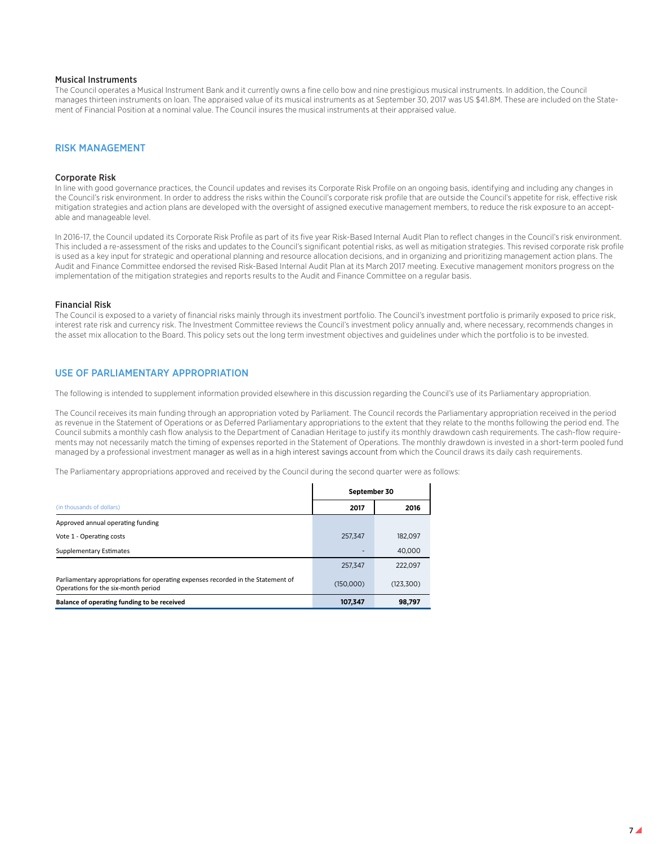### Musical Instruments

The Council operates a Musical Instrument Bank and it currently owns a fine cello bow and nine prestigious musical instruments. In addition, the Council manages thirteen instruments on loan. The appraised value of its musical instruments as at September 30, 2017 was US \$41.8M. These are included on the Statement of Financial Position at a nominal value. The Council insures the musical instruments at their appraised value.

# RISK MANAGEMENT

### Corporate Risk

In line with good governance practices, the Council updates and revises its Corporate Risk Profile on an ongoing basis, identifying and including any changes in the Council's risk environment. In order to address the risks within the Council's corporate risk profile that are outside the Council's appetite for risk, effective risk mitigation strategies and action plans are developed with the oversight of assigned executive management members, to reduce the risk exposure to an acceptable and manageable level.

In 2016-17, the Council updated its Corporate Risk Profile as part of its five year Risk-Based Internal Audit Plan to reflect changes in the Council's risk environment. This included a re-assessment of the risks and updates to the Council's significant potential risks, as well as mitigation strategies. This revised corporate risk profile is used as a key input for strategic and operational planning and resource allocation decisions, and in organizing and prioritizing management action plans. The Audit and Finance Committee endorsed the revised Risk-Based Internal Audit Plan at its March 2017 meeting. Executive management monitors progress on the implementation of the mitigation strategies and reports results to the Audit and Finance Committee on a regular basis.

### Financial Risk

The Council is exposed to a variety of financial risks mainly through its investment portfolio. The Council's investment portfolio is primarily exposed to price risk, interest rate risk and currency risk. The Investment Committee reviews the Council's investment policy annually and, where necessary, recommends changes in the asset mix allocation to the Board. This policy sets out the long term investment objectives and guidelines under which the portfolio is to be invested.

## USE OF PARLIAMENTARY APPROPRIATION

The following is intended to supplement information provided elsewhere in this discussion regarding the Council's use of its Parliamentary appropriation.

The Council receives its main funding through an appropriation voted by Parliament. The Council records the Parliamentary appropriation received in the period as revenue in the Statement of Operations or as Deferred Parliamentary appropriations to the extent that they relate to the months following the period end. The Council submits a monthly cash flow analysis to the Department of Canadian Heritage to justify its monthly drawdown cash requirements. The cash-flow requirements may not necessarily match the timing of expenses reported in the Statement of Operations. The monthly drawdown is invested in a short-term pooled fund managed by a professional investment manager as well as in a high interest savings account from which the Council draws its daily cash requirements.

The Parliamentary appropriations approved and received by the Council during the second quarter were as follows:

|                                                                                                                         |           | September 30 |  |  |  |  |
|-------------------------------------------------------------------------------------------------------------------------|-----------|--------------|--|--|--|--|
| (in thousands of dollars)                                                                                               | 2017      | 2016         |  |  |  |  |
| Approved annual operating funding                                                                                       |           |              |  |  |  |  |
| Vote 1 - Operating costs                                                                                                | 257.347   | 182.097      |  |  |  |  |
| <b>Supplementary Estimates</b>                                                                                          |           | 40.000       |  |  |  |  |
|                                                                                                                         | 257.347   | 222,097      |  |  |  |  |
| Parliamentary appropriations for operating expenses recorded in the Statement of<br>Operations for the six-month period | (150.000) | (123,300)    |  |  |  |  |
| Balance of operating funding to be received                                                                             | 107.347   | 98.797       |  |  |  |  |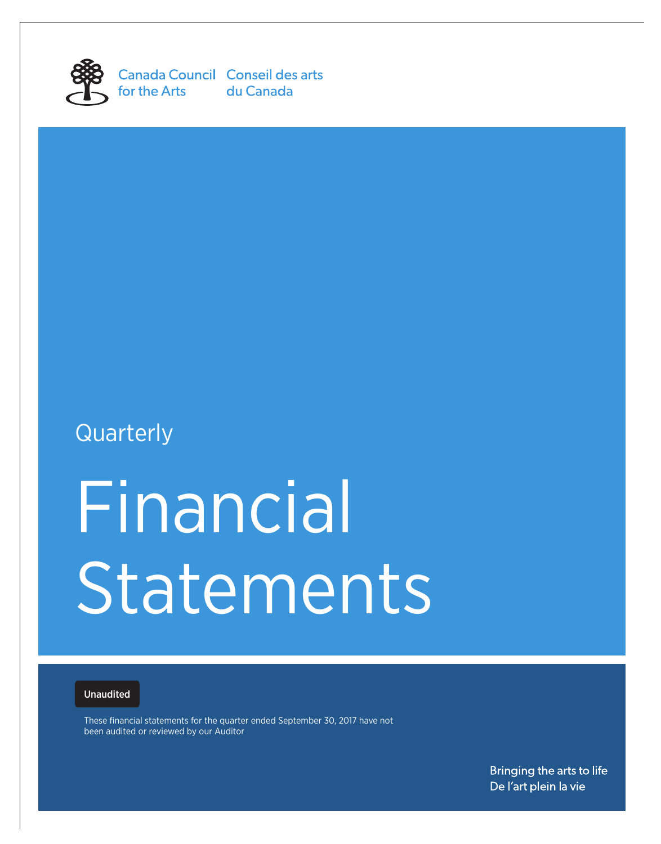

Canada Council Conseil des arts for the Arts du Canada

# **Quarterly**

# Financial Statements

# Unaudited

These financial statements for the quarter ended September 30, 2017 have not been audited or reviewed by our Auditor

> Bringing the arts to life De l'art plein la vie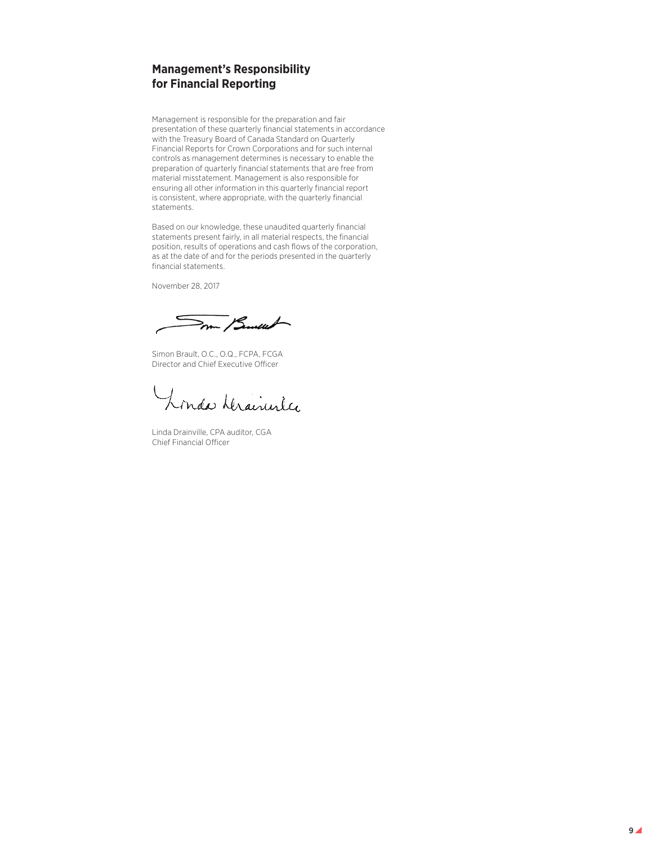# **Management's Responsibility for Financial Reporting**

Management is responsible for the preparation and fair presentation of these quarterly financial statements in accordance with the Treasury Board of Canada Standard on Quarterly Financial Reports for Crown Corporations and for such internal controls as management determines is necessary to enable the preparation of quarterly financial statements that are free from material misstatement. Management is also responsible for ensuring all other information in this quarterly financial report is consistent, where appropriate, with the quarterly financial statements.

Based on our knowledge, these unaudited quarterly financial statements present fairly, in all material respects, the financial position, results of operations and cash flows of the corporation, as at the date of and for the periods presented in the quarterly financial statements.

November 28, 2017

mm / Sunew

Simon Brault, O.C., O.Q., FCPA, FCGA Director and Chief Executive Officer

Londa Hrainister

Linda Drainville, CPA auditor, CGA Chief Financial Officer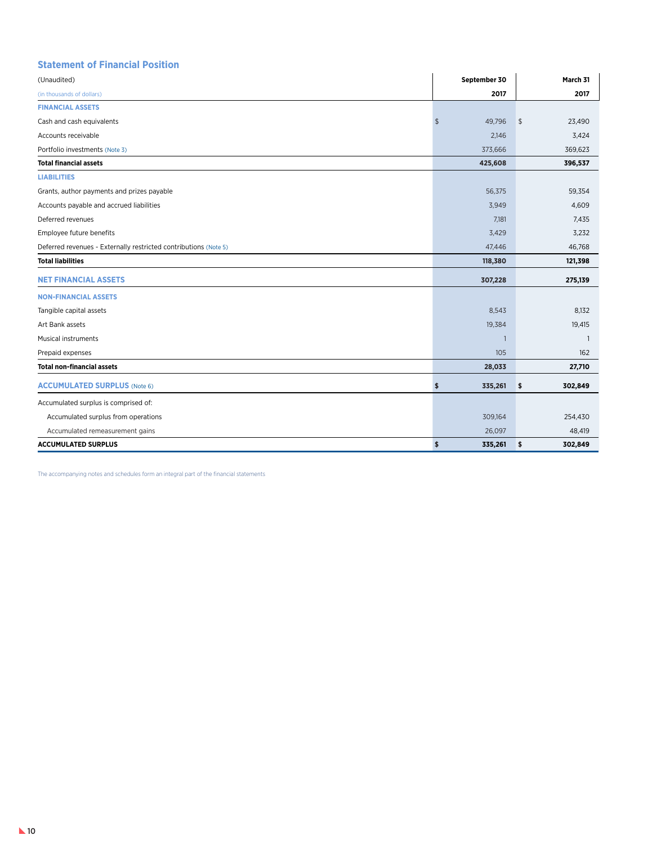# **Statement of Financial Position**

| (Unaudited)                                                      |               | September 30   |            | March 31       |
|------------------------------------------------------------------|---------------|----------------|------------|----------------|
| (in thousands of dollars)                                        |               | 2017           |            | 2017           |
| <b>FINANCIAL ASSETS</b>                                          |               |                |            |                |
| Cash and cash equivalents                                        | $\frac{1}{2}$ | 49,796         | $\sqrt{2}$ | 23,490         |
| Accounts receivable                                              |               | 2,146          |            | 3,424          |
| Portfolio investments (Note 3)                                   |               | 373,666        |            | 369,623        |
| <b>Total financial assets</b>                                    |               | 425,608        |            | 396,537        |
| <b>LIABILITIES</b>                                               |               |                |            |                |
| Grants, author payments and prizes payable                       |               | 56,375         |            | 59,354         |
| Accounts payable and accrued liabilities                         |               | 3,949          |            | 4,609          |
| Deferred revenues                                                |               | 7,181          |            | 7,435          |
| Employee future benefits                                         |               | 3,429          |            | 3,232          |
| Deferred revenues - Externally restricted contributions (Note 5) |               | 47,446         |            | 46,768         |
| <b>Total liabilities</b>                                         |               | 118,380        |            | 121,398        |
| <b>NET FINANCIAL ASSETS</b>                                      |               | 307,228        |            | 275,139        |
| <b>NON-FINANCIAL ASSETS</b>                                      |               |                |            |                |
| Tangible capital assets                                          |               | 8,543          |            | 8,132          |
| Art Bank assets                                                  |               | 19,384         |            | 19,415         |
| Musical instruments                                              |               | $\overline{1}$ |            | $\overline{1}$ |
| Prepaid expenses                                                 |               | 105            |            | 162            |
| <b>Total non-financial assets</b>                                |               | 28,033         |            | 27,710         |
| <b>ACCUMULATED SURPLUS (Note 6)</b>                              | \$            | 335,261        | \$         | 302,849        |
| Accumulated surplus is comprised of:                             |               |                |            |                |
| Accumulated surplus from operations                              |               | 309,164        |            | 254,430        |
| Accumulated remeasurement gains                                  |               | 26,097         |            | 48,419         |
| <b>ACCUMULATED SURPLUS</b>                                       | \$            | 335,261        | \$         | 302,849        |

The accompanying notes and schedules form an integral part of the financial statements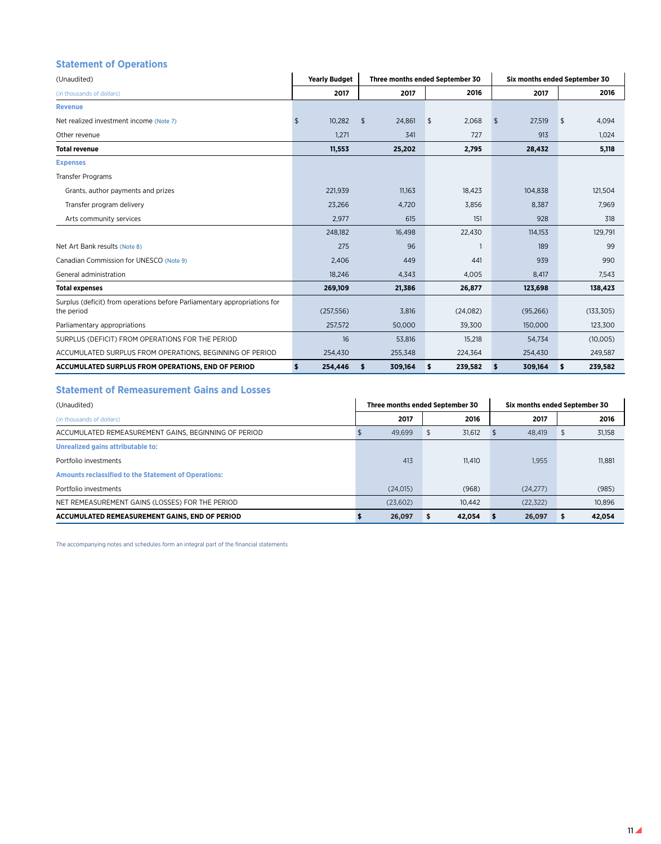# **Statement of Operations**

| (Unaudited)                                                                             | <b>Yearly Budget</b> |        |            | Three months ended September 30 |    |          |               | Six months ended September 30 |    |            |  |  |
|-----------------------------------------------------------------------------------------|----------------------|--------|------------|---------------------------------|----|----------|---------------|-------------------------------|----|------------|--|--|
| (in thousands of dollars)                                                               |                      | 2017   |            | 2017                            |    | 2016     |               | 2017                          |    | 2016       |  |  |
| <b>Revenue</b>                                                                          |                      |        |            |                                 |    |          |               |                               |    |            |  |  |
| Net realized investment income (Note 7)                                                 | \$                   | 10,282 | $\sqrt{2}$ | 24,861                          | \$ | 2,068    | $\mathsf{\$}$ | 27,519                        | \$ | 4,094      |  |  |
| Other revenue                                                                           |                      | 1,271  |            | 341                             |    | 727      |               | 913                           |    | 1,024      |  |  |
| <b>Total revenue</b>                                                                    | 11,553               |        |            | 25,202                          |    | 2,795    |               | 28,432                        |    | 5,118      |  |  |
| <b>Expenses</b>                                                                         |                      |        |            |                                 |    |          |               |                               |    |            |  |  |
| <b>Transfer Programs</b>                                                                |                      |        |            |                                 |    |          |               |                               |    |            |  |  |
| Grants, author payments and prizes                                                      | 221,939              |        |            | 11,163                          |    | 18,423   |               | 104,838                       |    | 121,504    |  |  |
| Transfer program delivery                                                               | 23,266               |        |            | 4,720                           |    | 3,856    |               | 8,387                         |    | 7,969      |  |  |
| Arts community services                                                                 |                      | 2,977  |            | 615                             |    | 151      |               | 928                           |    | 318        |  |  |
|                                                                                         | 248,182              |        |            | 16,498                          |    | 22,430   |               | 114,153                       |    | 129,791    |  |  |
| Net Art Bank results (Note 8)                                                           |                      | 275    |            | 96                              |    |          |               | 189                           |    | 99         |  |  |
| Canadian Commission for UNESCO (Note 9)                                                 |                      | 2,406  |            | 449                             |    | 441      |               | 939                           |    | 990        |  |  |
| General administration                                                                  | 18,246               |        |            | 4,343                           |    | 4,005    |               | 8,417                         |    | 7,543      |  |  |
| <b>Total expenses</b>                                                                   | 269,109              |        |            | 21,386                          |    | 26,877   |               | 123,698                       |    | 138,423    |  |  |
| Surplus (deficit) from operations before Parliamentary appropriations for<br>the period | (257, 556)           |        |            | 3,816                           |    | (24,082) |               | (95, 266)                     |    | (133, 305) |  |  |
| Parliamentary appropriations                                                            | 257,572              |        |            | 50,000                          |    | 39,300   |               | 150,000                       |    | 123,300    |  |  |
| SURPLUS (DEFICIT) FROM OPERATIONS FOR THE PERIOD                                        |                      | 16     |            | 53,816                          |    | 15,218   |               | 54,734                        |    | (10,005)   |  |  |
| ACCUMULATED SURPLUS FROM OPERATIONS, BEGINNING OF PERIOD                                | 254,430              |        |            | 255,348                         |    | 224,364  |               | 254,430                       |    | 249,587    |  |  |
| ACCUMULATED SURPLUS FROM OPERATIONS, END OF PERIOD                                      | \$<br>254,446        |        | \$         | 309,164                         | \$ | 239,582  | $\sqrt{2}$    | 309,164                       | \$ | 239,582    |  |  |

# **Statement of Remeasurement Gains and Losses**

| (Unaudited)                                                 | Three months ended September 30 |          |  |        | Six months ended September 30 |           |        |  |
|-------------------------------------------------------------|---------------------------------|----------|--|--------|-------------------------------|-----------|--------|--|
| (in thousands of dollars)                                   |                                 | 2017     |  | 2016   |                               | 2017      | 2016   |  |
| ACCUMULATED REMEASUREMENT GAINS, BEGINNING OF PERIOD        |                                 | 49,699   |  | 31,612 |                               | 48,419    | 31,158 |  |
| Unrealized gains attributable to:                           |                                 |          |  |        |                               |           |        |  |
| Portfolio investments                                       |                                 | 413      |  | 11.410 |                               | 1.955     | 11,881 |  |
| <b>Amounts reclassified to the Statement of Operations:</b> |                                 |          |  |        |                               |           |        |  |
| Portfolio investments                                       |                                 | (24.015) |  | (968)  |                               | (24,277)  | (985)  |  |
| NET REMEASUREMENT GAINS (LOSSES) FOR THE PERIOD             |                                 | (23,602) |  | 10.442 |                               | (22, 322) | 10.896 |  |
| ACCUMULATED REMEASUREMENT GAINS, END OF PERIOD              |                                 | 26,097   |  | 42,054 |                               | 26,097    | 42,054 |  |

The accompanying notes and schedules form an integral part of the financial statements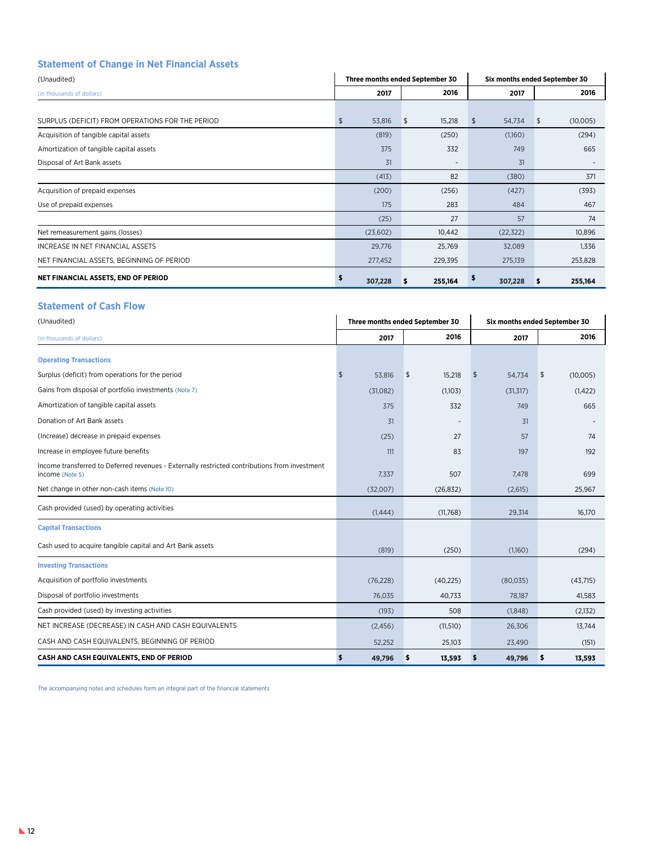# **Statement of Change in Net Financial Assets**

| (Unaudited)                                      |               | Three months ended September 30 |               | Six months ended September 30 |
|--------------------------------------------------|---------------|---------------------------------|---------------|-------------------------------|
| (in thousands of dollars)                        | 2017          | 2016                            | 2017          | 2016                          |
|                                                  |               |                                 |               |                               |
| SURPLUS (DEFICIT) FROM OPERATIONS FOR THE PERIOD | \$<br>53,816  | 15,218<br>\$                    | \$<br>54,734  | (10,005)<br>\$                |
| Acquisition of tangible capital assets           | (819)         | (250)                           | (1,160)       | (294)                         |
| Amortization of tangible capital assets          | 375           | 332                             | 749           | 665                           |
| Disposal of Art Bank assets                      | 31            | $\overline{\phantom{a}}$        | 31            |                               |
|                                                  | (413)         | 82                              | (380)         | 371                           |
| Acquisition of prepaid expenses                  | (200)         | (256)                           | (427)         | (393)                         |
| Use of prepaid expenses                          | 175           | 283                             | 484           | 467                           |
|                                                  | (25)          | 27                              | 57            | 74                            |
| Net remeasurement gains (losses)                 | (23,602)      | 10,442                          | (22, 322)     | 10,896                        |
| INCREASE IN NET FINANCIAL ASSETS                 | 29,776        | 25,769                          | 32,089        | 1,336                         |
| NET FINANCIAL ASSETS, BEGINNING OF PERIOD        | 277,452       | 229,395                         | 275,139       | 253,828                       |
| NET FINANCIAL ASSETS, END OF PERIOD              | \$<br>307,228 | 255,164<br>з                    | \$<br>307,228 | 255,164<br>\$                 |

# **Statement of Cash Flow**

| (Unaudited)                                                                                                      |            |           | Three months ended September 30 |            | Six months ended September 30 |    |          |  |  |
|------------------------------------------------------------------------------------------------------------------|------------|-----------|---------------------------------|------------|-------------------------------|----|----------|--|--|
| (in thousands of dollars)                                                                                        |            | 2017      | 2016                            |            | 2017                          |    | 2016     |  |  |
| <b>Operating Transactions</b>                                                                                    |            |           |                                 |            |                               |    |          |  |  |
| Surplus (deficit) from operations for the period                                                                 | $\sqrt{2}$ | 53,816    | \$<br>15,218                    | $\sqrt{2}$ | 54,734                        | \$ | (10,005) |  |  |
| Gains from disposal of portfolio investments (Note 7)                                                            |            | (31,082)  | (1,103)                         |            | (31, 317)                     |    | (1, 422) |  |  |
| Amortization of tangible capital assets                                                                          |            | 375       | 332                             |            | 749                           |    | 665      |  |  |
| Donation of Art Bank assets                                                                                      |            | 31        |                                 |            | 31                            |    |          |  |  |
| (Increase) decrease in prepaid expenses                                                                          |            | (25)      | 27                              |            | 57                            |    | 74       |  |  |
| Increase in employee future benefits                                                                             |            | 111       | 83                              |            | 197                           |    | 192      |  |  |
| Income transferred to Deferred revenues - Externally restricted contributions from investment<br>income (Note 5) |            | 7,337     | 507                             |            | 7.478                         |    | 699      |  |  |
| Net change in other non-cash items (Note 10)                                                                     |            | (32,007)  | (26, 832)                       |            | (2,615)                       |    | 25,967   |  |  |
| Cash provided (used) by operating activities                                                                     |            | (1,444)   | (11,768)                        |            | 29,314                        |    | 16,170   |  |  |
| <b>Capital Transactions</b>                                                                                      |            |           |                                 |            |                               |    |          |  |  |
| Cash used to acquire tangible capital and Art Bank assets                                                        |            | (819)     | (250)                           |            | (1,160)                       |    | (294)    |  |  |
| <b>Investing Transactions</b>                                                                                    |            |           |                                 |            |                               |    |          |  |  |
| Acquisition of portfolio investments                                                                             |            | (76, 228) | (40, 225)                       |            | (80,035)                      |    | (43,715) |  |  |
| Disposal of portfolio investments                                                                                |            | 76,035    | 40,733                          |            | 78,187                        |    | 41,583   |  |  |
| Cash provided (used) by investing activities                                                                     |            | (193)     | 508                             |            | (1,848)                       |    | (2,132)  |  |  |
| NET INCREASE (DECREASE) IN CASH AND CASH EQUIVALENTS                                                             |            | (2,456)   | (11, 510)                       |            | 26,306                        |    | 13,744   |  |  |
| CASH AND CASH EQUIVALENTS, BEGINNING OF PERIOD                                                                   |            | 52,252    | 25,103                          |            | 23,490                        |    | (151)    |  |  |
| CASH AND CASH EQUIVALENTS, END OF PERIOD                                                                         | \$         | 49,796    | \$<br>13,593                    | \$         | 49,796                        | \$ | 13,593   |  |  |

The accompanying notes and schedules form an integral part of the financial statements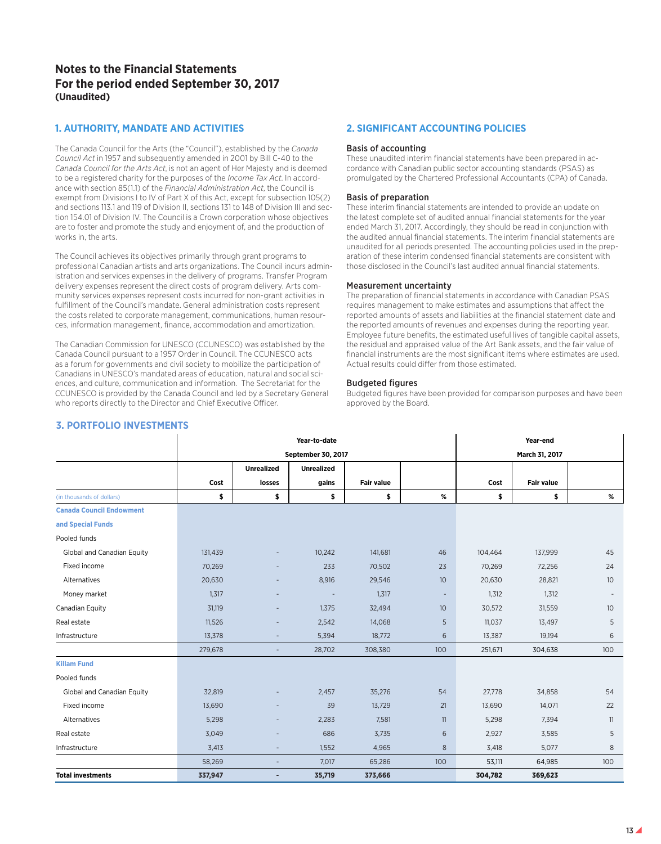# **Notes to the Financial Statements For the period ended September 30, 2017 (Unaudited)**

# **1. AUTHORITY, MANDATE AND ACTIVITIES**

The Canada Council for the Arts (the "Council"), established by the *Canada Council Act* in 1957 and subsequently amended in 2001 by Bill C-40 to the *Canada Council for the Arts Act*, is not an agent of Her Majesty and is deemed to be a registered charity for the purposes of the *Income Tax Act*. In accordance with section 85(1.1) of the *Financial Administration Act*, the Council is exempt from Divisions I to IV of Part X of this Act, except for subsection 105(2) and sections 113.1 and 119 of Division II, sections 131 to 148 of Division III and section 154.01 of Division IV. The Council is a Crown corporation whose objectives are to foster and promote the study and enjoyment of, and the production of works in, the arts.

The Council achieves its objectives primarily through grant programs to professional Canadian artists and arts organizations. The Council incurs administration and services expenses in the delivery of programs. Transfer Program delivery expenses represent the direct costs of program delivery. Arts community services expenses represent costs incurred for non-grant activities in fulfillment of the Council's mandate. General administration costs represent the costs related to corporate management, communications, human resources, information management, finance, accommodation and amortization.

The Canadian Commission for UNESCO (CCUNESCO) was established by the Canada Council pursuant to a 1957 Order in Council. The CCUNESCO acts as a forum for governments and civil society to mobilize the participation of Canadians in UNESCO's mandated areas of education, natural and social sciences, and culture, communication and information. The Secretariat for the CCUNESCO is provided by the Canada Council and led by a Secretary General who reports directly to the Director and Chief Executive Officer.

# **2. SIGNIFICANT ACCOUNTING POLICIES**

### Basis of accounting

These unaudited interim financial statements have been prepared in accordance with Canadian public sector accounting standards (PSAS) as promulgated by the Chartered Professional Accountants (CPA) of Canada.

### Basis of preparation

These interim financial statements are intended to provide an update on the latest complete set of audited annual financial statements for the year ended March 31, 2017. Accordingly, they should be read in conjunction with the audited annual financial statements. The interim financial statements are unaudited for all periods presented. The accounting policies used in the preparation of these interim condensed financial statements are consistent with those disclosed in the Council's last audited annual financial statements.

### Measurement uncertainty

The preparation of financial statements in accordance with Canadian PSAS requires management to make estimates and assumptions that affect the reported amounts of assets and liabilities at the financial statement date and the reported amounts of revenues and expenses during the reporting year. Employee future benefits, the estimated useful lives of tangible capital assets, the residual and appraised value of the Art Bank assets, and the fair value of financial instruments are the most significant items where estimates are used. Actual results could differ from those estimated.

### Budgeted figures

Budgeted figures have been provided for comparison purposes and have been approved by the Board.

|                                 |         |                          | Year-to-date       |                   |                          |         | Year-end          |                 |
|---------------------------------|---------|--------------------------|--------------------|-------------------|--------------------------|---------|-------------------|-----------------|
|                                 |         |                          | September 30, 2017 |                   |                          |         | March 31, 2017    |                 |
|                                 |         | <b>Unrealized</b>        | <b>Unrealized</b>  |                   |                          |         |                   |                 |
|                                 | Cost    | losses                   | gains              | <b>Fair value</b> |                          | Cost    | <b>Fair value</b> |                 |
| (in thousands of dollars)       | \$      | \$                       | \$                 | \$                | %                        | \$      | \$                | %               |
| <b>Canada Council Endowment</b> |         |                          |                    |                   |                          |         |                   |                 |
| and Special Funds               |         |                          |                    |                   |                          |         |                   |                 |
| Pooled funds                    |         |                          |                    |                   |                          |         |                   |                 |
| Global and Canadian Equity      | 131,439 |                          | 10,242             | 141,681           | 46                       | 104,464 | 137,999           | 45              |
| Fixed income                    | 70,269  |                          | 233                | 70,502            | 23                       | 70,269  | 72,256            | 24              |
| Alternatives                    | 20,630  |                          | 8,916              | 29,546            | 10 <sup>°</sup>          | 20,630  | 28,821            | 10 <sup>°</sup> |
| Money market                    | 1,317   |                          |                    | 1,317             | $\overline{\phantom{a}}$ | 1,312   | 1,312             |                 |
| Canadian Equity                 | 31,119  |                          | 1.375              | 32,494            | 10 <sup>°</sup>          | 30,572  | 31,559            | 10 <sup>°</sup> |
| Real estate                     | 11,526  |                          | 2,542              | 14,068            | 5                        | 11,037  | 13,497            | 5               |
| Infrastructure                  | 13,378  |                          | 5,394              | 18,772            | 6                        | 13,387  | 19,194            | 6               |
|                                 | 279,678 | $\overline{\phantom{a}}$ | 28,702             | 308,380           | 100                      | 251,671 | 304,638           | 100             |
| <b>Killam Fund</b>              |         |                          |                    |                   |                          |         |                   |                 |
| Pooled funds                    |         |                          |                    |                   |                          |         |                   |                 |
| Global and Canadian Equity      | 32,819  |                          | 2,457              | 35,276            | 54                       | 27,778  | 34,858            | 54              |
| Fixed income                    | 13,690  |                          | 39                 | 13,729            | 21                       | 13,690  | 14,071            | 22              |
| Alternatives                    | 5,298   |                          | 2,283              | 7,581             | 11                       | 5,298   | 7,394             | 11              |
| Real estate                     | 3,049   |                          | 686                | 3,735             | 6                        | 2,927   | 3,585             | 5               |
| Infrastructure                  | 3,413   |                          | 1,552              | 4,965             | 8                        | 3,418   | 5,077             | 8               |
|                                 | 58,269  |                          | 7,017              | 65,286            | 100                      | 53,111  | 64,985            | 100             |
| <b>Total investments</b>        | 337,947 | ٠                        | 35,719             | 373,666           |                          | 304,782 | 369,623           |                 |

# **3. PORTFOLIO INVESTMENTS**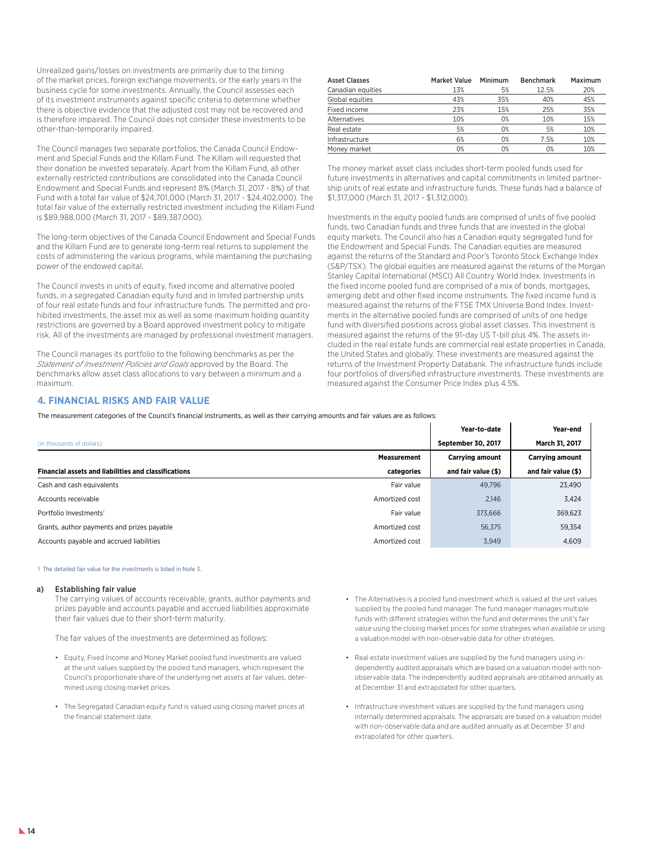Unrealized gains/losses on investments are primarily due to the timing of the market prices, foreign exchange movements, or the early years in the business cycle for some investments. Annually, the Council assesses each of its investment instruments against specific criteria to determine whether there is objective evidence that the adjusted cost may not be recovered and is therefore impaired. The Council does not consider these investments to be other-than-temporarily impaired.

The Council manages two separate portfolios, the Canada Council Endowment and Special Funds and the Killam Fund. The Killam will requested that their donation be invested separately. Apart from the Killam Fund, all other externally restricted contributions are consolidated into the Canada Council Endowment and Special Funds and represent 8% (March 31, 2017 - 8%) of that Fund with a total fair value of \$24,701,000 (March 31, 2017 - \$24,402,000). The total fair value of the externally restricted investment including the Killam Fund is \$89,988,000 (March 31, 2017 - \$89,387,000).

The long-term objectives of the Canada Council Endowment and Special Funds and the Killam Fund are to generate long-term real returns to supplement the costs of administering the various programs, while maintaining the purchasing power of the endowed capital.

The Council invests in units of equity, fixed income and alternative pooled funds, in a segregated Canadian equity fund and in limited partnership units of four real estate funds and four infrastructure funds. The permitted and prohibited investments, the asset mix as well as some maximum holding quantity restrictions are governed by a Board approved investment policy to mitigate risk. All of the investments are managed by professional investment managers.

The Council manages its portfolio to the following benchmarks as per the *Statement of Investment Policies and Goals* approved by the Board. The benchmarks allow asset class allocations to vary between a minimum and a maximum.

### Asset Classes Market Value Minimum Benchmark Maximum Canadian equities 13% 5% 12.5% 20% Global equities **43%** 45% 40% 45% Fixed income 23% 15% 25% 35% Alternatives 10% 10% 10% 10% 15% Real estate 5% 0% 5% 10% Infrastructure 6% 0% 7.5% 10% Money market  $0\%$  0% 0% 0% 10%

The money market asset class includes short-term pooled funds used for future investments in alternatives and capital commitments in limited partnership units of real estate and infrastructure funds. These funds had a balance of \$1,317,000 (March 31, 2017 - \$1,312,000).

Investments in the equity pooled funds are comprised of units of five pooled funds, two Canadian funds and three funds that are invested in the global equity markets. The Council also has a Canadian equity segregated fund for the Endowment and Special Funds. The Canadian equities are measured against the returns of the Standard and Poor's Toronto Stock Exchange Index (S&P/TSX). The global equities are measured against the returns of the Morgan Stanley Capital International (MSCI) All Country World Index. Investments in the fixed income pooled fund are comprised of a mix of bonds, mortgages, emerging debt and other fixed income instruments. The fixed income fund is measured against the returns of the FTSE TMX Universe Bond Index. Investments in the alternative pooled funds are comprised of units of one hedge fund with diversified positions across global asset classes. This investment is measured against the returns of the 91-day US T-bill plus 4%. The assets included in the real estate funds are commercial real estate properties in Canada, the United States and globally. These investments are measured against the returns of the Investment Property Databank. The infrastructure funds include four portfolios of diversified infrastructure investments. These investments are measured against the Consumer Price Index plus 4.5%.

 $\mathbf{I}$ 

 $\mathbf{I}$ 

# **4. FINANCIAL RISKS AND FAIR VALUE**

The measurement categories of the Council's financial instruments, as well as their carrying amounts and fair values are as follows:

|                                                             |                    | Year-to-date              | Year-end               |
|-------------------------------------------------------------|--------------------|---------------------------|------------------------|
| (in thousands of dollars)                                   |                    | <b>September 30, 2017</b> | March 31, 2017         |
|                                                             | <b>Measurement</b> | <b>Carrying amount</b>    | <b>Carrying amount</b> |
| <b>Financial assets and liabilities and classifications</b> | categories         | and fair value (\$)       | and fair value (\$)    |
| Cash and cash equivalents                                   | Fair value         | 49.796                    | 23,490                 |
| Accounts receivable                                         | Amortized cost     | 2,146                     | 3,424                  |
| Portfolio Investments <sup>1</sup>                          | Fair value         | 373,666                   | 369,623                |
| Grants, author payments and prizes payable                  | Amortized cost     | 56,375                    | 59,354                 |
| Accounts payable and accrued liabilities                    | Amortized cost     | 3,949                     | 4,609                  |

1 The detailed fair value for the investments is listed in Note 3.

### a) Establishing fair value

The carrying values of accounts receivable, grants, author payments and prizes payable and accounts payable and accrued liabilities approximate their fair values due to their short-term maturity.

The fair values of the investments are determined as follows:

- Equity, Fixed Income and Money Market pooled fund investments are valued at the unit values supplied by the pooled fund managers, which represent the Council's proportionate share of the underlying net assets at fair values, determined using closing market prices.
- The Segregated Canadian equity fund is valued using closing market prices at the financial statement date.
- The Alternatives is a pooled fund investment which is valued at the unit values supplied by the pooled fund manager. The fund manager manages multiple funds with different strategies within the fund and determines the unit's fair value using the closing market prices for some strategies when available or using a valuation model with non-observable data for other strategies.
- Real estate investment values are supplied by the fund managers using independently audited appraisals which are based on a valuation model with nonobservable data. The independently audited appraisals are obtained annually as at December 31 and extrapolated for other quarters.
- Infrastructure investment values are supplied by the fund managers using internally determined appraisals. The appraisals are based on a valuation model with non-observable data and are audited annually as at December 31 and extrapolated for other quarters.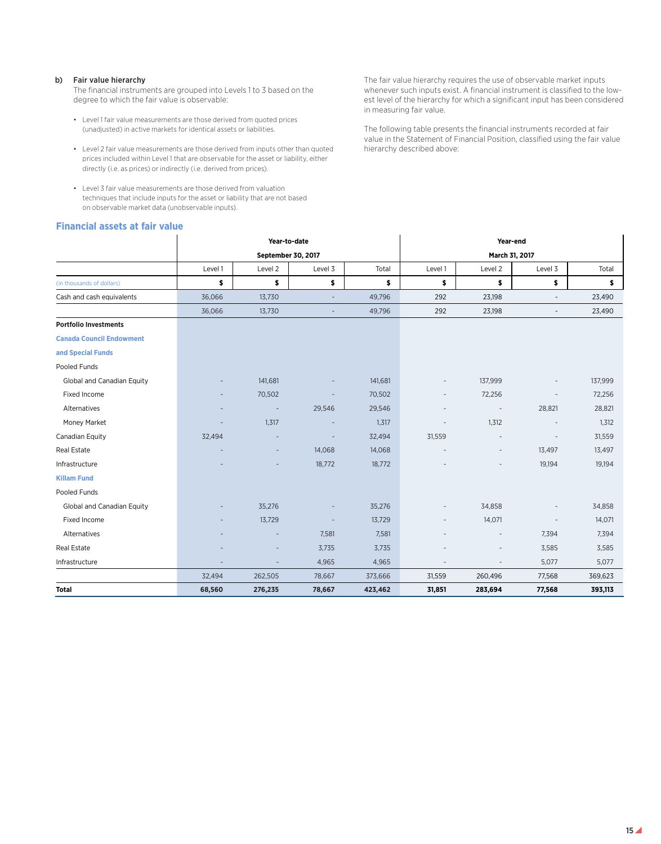### b) Fair value hierarchy

The financial instruments are grouped into Levels 1 to 3 based on the degree to which the fair value is observable:

- Level 1 fair value measurements are those derived from quoted prices (unadjusted) in active markets for identical assets or liabilities.
- Level 2 fair value measurements are those derived from inputs other than quoted prices included within Level 1 that are observable for the asset or liability, either directly (i.e. as prices) or indirectly (i.e. derived from prices).
- Level 3 fair value measurements are those derived from valuation techniques that include inputs for the asset or liability that are not based on observable market data (unobservable inputs).

# **Financial assets at fair value**

The fair value hierarchy requires the use of observable market inputs whenever such inputs exist. A financial instrument is classified to the lowest level of the hierarchy for which a significant input has been considered in measuring fair value.

The following table presents the financial instruments recorded at fair value in the Statement of Financial Position, classified using the fair value hierarchy described above:

|                                 |         | Year-to-date             |                          |         |                          | Year-end                 |                          |         |  |  |  |  |
|---------------------------------|---------|--------------------------|--------------------------|---------|--------------------------|--------------------------|--------------------------|---------|--|--|--|--|
|                                 |         | September 30, 2017       |                          |         |                          | March 31, 2017           |                          |         |  |  |  |  |
|                                 | Level 1 | Level 2                  | Level 3                  | Total   | Level 1                  | Level 2                  | Level 3                  | Total   |  |  |  |  |
| (in thousands of dollars)       | \$      | \$                       | \$                       | \$      | \$                       | \$                       | \$                       | \$      |  |  |  |  |
| Cash and cash equivalents       | 36,066  | 13,730                   | $\overline{\phantom{a}}$ | 49,796  | 292                      | 23,198                   | $\overline{\phantom{a}}$ | 23,490  |  |  |  |  |
|                                 | 36,066  | 13,730                   | $\overline{\phantom{a}}$ | 49,796  | 292                      | 23,198                   | $\overline{\phantom{a}}$ | 23,490  |  |  |  |  |
| <b>Portfolio Investments</b>    |         |                          |                          |         |                          |                          |                          |         |  |  |  |  |
| <b>Canada Council Endowment</b> |         |                          |                          |         |                          |                          |                          |         |  |  |  |  |
| and Special Funds               |         |                          |                          |         |                          |                          |                          |         |  |  |  |  |
| Pooled Funds                    |         |                          |                          |         |                          |                          |                          |         |  |  |  |  |
| Global and Canadian Equity      |         | 141,681                  |                          | 141,681 | $\overline{\phantom{a}}$ | 137,999                  |                          | 137,999 |  |  |  |  |
| Fixed Income                    |         | 70,502                   |                          | 70,502  | $\overline{\phantom{a}}$ | 72,256                   |                          | 72,256  |  |  |  |  |
| Alternatives                    |         | $\overline{\phantom{a}}$ | 29,546                   | 29,546  | $\overline{\phantom{a}}$ | $\overline{\phantom{a}}$ | 28,821                   | 28,821  |  |  |  |  |
| Money Market                    |         | 1,317                    |                          | 1,317   |                          | 1,312                    |                          | 1,312   |  |  |  |  |
| Canadian Equity                 | 32,494  |                          |                          | 32,494  | 31,559                   |                          |                          | 31,559  |  |  |  |  |
| Real Estate                     |         | $\overline{\phantom{a}}$ | 14,068                   | 14,068  |                          |                          | 13,497                   | 13,497  |  |  |  |  |
| Infrastructure                  |         |                          | 18,772                   | 18,772  |                          |                          | 19,194                   | 19,194  |  |  |  |  |
| <b>Killam Fund</b>              |         |                          |                          |         |                          |                          |                          |         |  |  |  |  |
| Pooled Funds                    |         |                          |                          |         |                          |                          |                          |         |  |  |  |  |
| Global and Canadian Equity      |         | 35,276                   |                          | 35,276  | $\overline{\phantom{a}}$ | 34,858                   |                          | 34,858  |  |  |  |  |
| Fixed Income                    |         | 13,729                   |                          | 13,729  | $\overline{\phantom{a}}$ | 14,071                   |                          | 14,071  |  |  |  |  |
| Alternatives                    |         |                          | 7,581                    | 7,581   |                          | $\overline{\phantom{a}}$ | 7,394                    | 7,394   |  |  |  |  |
| Real Estate                     |         |                          | 3,735                    | 3,735   |                          |                          | 3,585                    | 3,585   |  |  |  |  |
| Infrastructure                  |         | $\overline{a}$           | 4,965                    | 4,965   |                          |                          | 5,077                    | 5,077   |  |  |  |  |
|                                 | 32,494  | 262,505                  | 78,667                   | 373,666 | 31,559                   | 260,496                  | 77,568                   | 369,623 |  |  |  |  |
| <b>Total</b>                    | 68,560  | 276,235                  | 78,667                   | 423,462 | 31,851                   | 283,694                  | 77,568                   | 393,113 |  |  |  |  |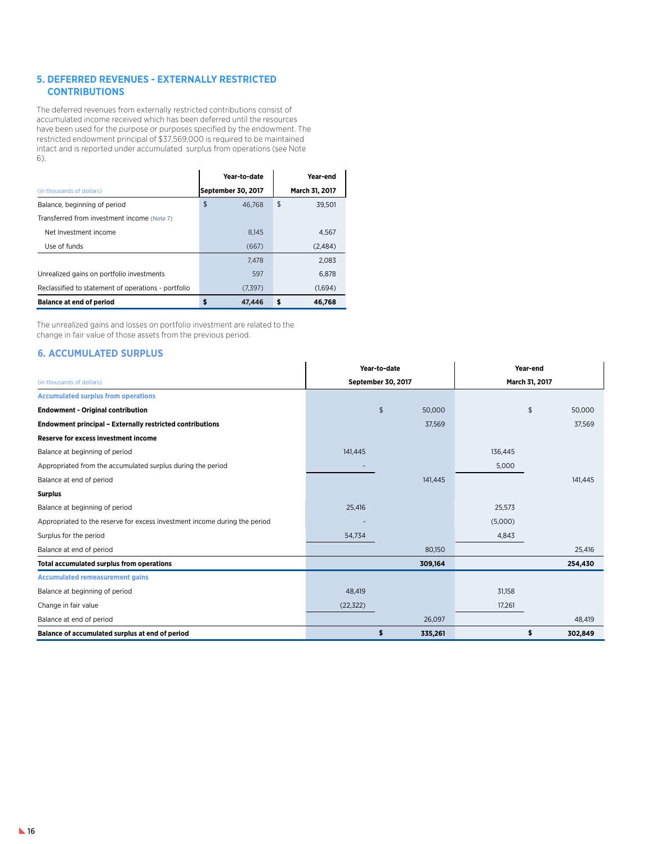# **5. DEFERRED REVENUES - EXTERNALLY RESTRICTED CONTRIBUTIONS**

The deferred revenues from externally restricted contributions consist of accumulated income received which has been deferred until the resources have been used for the purpose or purposes specified by the endowment. The restricted endowment principal of \$37,569,000 is required to be maintained intact and is reported under accumulated surplus from operations (see Note 6).

|                                                     | Year-to-date       | Year-end       |
|-----------------------------------------------------|--------------------|----------------|
| (in thousands of dollars)                           | September 30, 2017 | March 31, 2017 |
| Balance, beginning of period                        | \$<br>46.768       | \$<br>39.501   |
| Transferred from investment income (Note 7)         |                    |                |
| Net Investment income                               | 8.145              | 4.567          |
| Use of funds                                        | (667)              | (2,484)        |
|                                                     | 7.478              | 2,083          |
| Unrealized gains on portfolio investments           | 597                | 6.878          |
| Reclassified to statement of operations - portfolio | (7,397)            | (1,694)        |
| <b>Balance at end of period</b>                     | 47,446             | \$<br>46,768   |

The unrealized gains and losses on portfolio investment are related to the change in fair value of those assets from the previous period.

# **6. ACCUMULATED SURPLUS**

|                                                                            | Year-to-date       |    |         | Year-end       |    |         |  |
|----------------------------------------------------------------------------|--------------------|----|---------|----------------|----|---------|--|
| (in thousands of dollars)                                                  | September 30, 2017 |    |         | March 31, 2017 |    |         |  |
| <b>Accumulated surplus from operations</b>                                 |                    |    |         |                |    |         |  |
| <b>Endowment - Original contribution</b>                                   |                    | \$ | 50,000  |                | \$ | 50,000  |  |
| <b>Endowment principal - Externally restricted contributions</b>           |                    |    | 37,569  |                |    | 37,569  |  |
| <b>Reserve for excess investment income</b>                                |                    |    |         |                |    |         |  |
| Balance at beginning of period                                             | 141,445            |    |         | 136,445        |    |         |  |
| Appropriated from the accumulated surplus during the period                |                    |    |         | 5,000          |    |         |  |
| Balance at end of period                                                   |                    |    | 141,445 |                |    | 141,445 |  |
| <b>Surplus</b>                                                             |                    |    |         |                |    |         |  |
| Balance at beginning of period                                             | 25,416             |    |         | 25,573         |    |         |  |
| Appropriated to the reserve for excess investment income during the period |                    |    |         | (5,000)        |    |         |  |
| Surplus for the period                                                     | 54,734             |    |         | 4,843          |    |         |  |
| Balance at end of period                                                   |                    |    | 80,150  |                |    | 25,416  |  |
| <b>Total accumulated surplus from operations</b>                           |                    |    | 309,164 |                |    | 254,430 |  |
| <b>Accumulated remeasurement gains</b>                                     |                    |    |         |                |    |         |  |
| Balance at beginning of period                                             | 48,419             |    |         | 31,158         |    |         |  |
| Change in fair value                                                       | (22, 322)          |    |         | 17,261         |    |         |  |
| Balance at end of period                                                   |                    |    | 26,097  |                |    | 48,419  |  |
| Balance of accumulated surplus at end of period                            |                    | \$ | 335,261 |                | \$ | 302,849 |  |

 $\mathbf{r}$ 

 $\mathbf{r}$